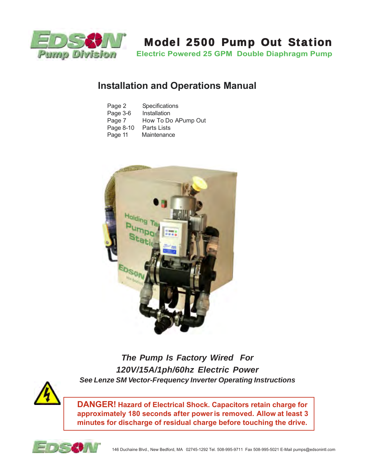

# Model 2500 Pump Out Station

**Electric Powered 25 GPM Double Diaphragm Pump**

# **Installation and Operations Manual**

| Page 2    | Specifications      |
|-----------|---------------------|
| Page 3-6  | Installation        |
| Page 7    | How To Do APump Out |
| Page 8-10 | Parts Lists         |
| Page 11   | Maintenance         |



*The Pump Is Factory Wired For 120V/15A/1ph/60hz Electric Power See Lenze SM Vector-Frequency Inverter Operating Instructions*



**DANGER! Hazard of Electrical Shock. Capacitors retain charge for approximately 180 seconds after power is removed. Allow at least 3 minutes for discharge of residual charge before touching the drive.**

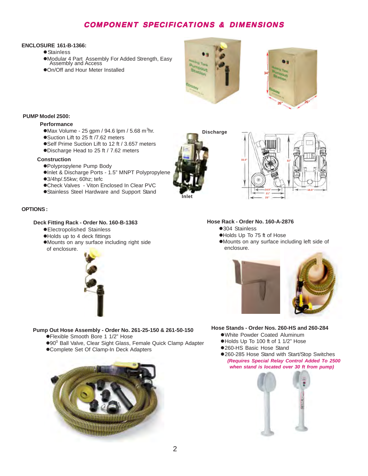# COMPONENT SPECIFICATIONS & DIMENSIONS

#### **ENCLOSURE 161-B-1366:**

- Stainless
- Modular 4 Part Assembly For Added Strength, Easy Assembly and Access
- On/Off and Hour Meter Installed



**Discharge**



#### **PUMP Model 2500:**

#### **Performance**

- $Max$  Volume 25 gpm / 94.6 lpm / 5.68 m<sup>3</sup>hr.
- ●Suction Lift to 25 ft /7.62 meters
- ●Self Prime Suction Lift to 12 ft / 3.657 meters Discharge Head to 25 ft / 7.62 meters

#### **Construction**

- Polypropylene Pump Body
- Inlet & Discharge Ports 1.5" MNPT Polypropylene 3/4hp/.55kw; 60hz; tefc
- Check Valves Viton Enclosed In Clear PVC
- Stainless Steel Hardware and Support Stand

#### **OPTIONS :**

#### **Deck Fitting Rack - Order No. 160-B-1363**

- Electropolished Stainless
- Holds up to 4 deck fittings
- Mounts on any surface including right side of enclosure.



Flexible Smooth Bore 1 1/2" Hose

Complete Set Of Clamp-In Deck Adapters

 **Pump Out Hose Assembly - Order No. 261-25-150 & 261-50-150**

●90<sup>0</sup> Ball Valve, Clear Sight Glass, Female Quick Clamp Adapter





#### **Hose Rack - Order No. 160-A-2876**

- ●304 Stainless
- Holds Up To 75 ft of Hose
- Mounts on any surface including left side of enclosure.



#### **Hose Stands - Order Nos. 260-HS and 260-284**

- White Powder Coated Aluminum
- Holds Up To 100 ft of 1 1/2" Hose
- 260-HS Basic Hose Stand
- 260-285 Hose Stand with Start/Stop Switches *(Requires Special Relay Control Added To 2500 when stand is located over 30 ft from pump)*



### 2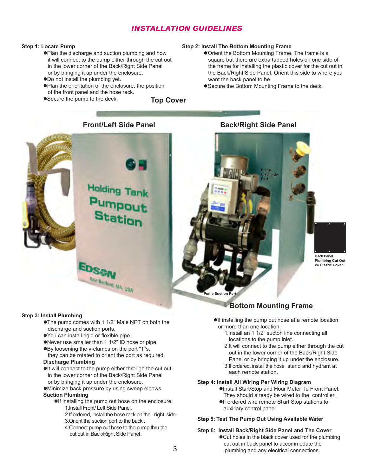# INSTALLATION GUIDELINES

#### **Step 1: Locate Pump**

- Plan the discharge and suction plumbing and how it will connect to the pump either through the cut out in the lower corner of the Back/Right Side Panel or by bringing it up under the enclosure.
- Do not install the plumbing yet.
- Plan the orientation of the enclosure, the position of the front panel and the hose rack.
- Secure the pump to the deck.

#### **Top Cover**

#### **Step 2: Install The Bottom Mounting Frame**

- Orient the Bottom Mounting Frame. The frame is a square but there are extra tapped holes on one side of the frame for installing the plastic cover for the cut out in the Back/Right Side Panel. Orient this side to where you want the back panel to be.
- Secure the Bottom Mounting Frame to the deck.

**Front/Left Side Panel Back/Right Side Panel**



#### **Step 3: Install Plumbing**

- The pump comes with 1 1/2" Male NPT on both the discharge and suction ports.
- You can install rigid or flexible pipe.
- Never use smaller than 1 1/2" ID hose or pipe.
- ●By loosening the v-clamps on the port "T"s,
- they can be rotated to orient the port as required. **Discharge Plumbing**
- $\bullet$ It will connect to the pump either through the cut out in the lower corner of the Back/Right Side Panel or by bringing it up under the enclosure.
- Minimize back pressure by using sweep elbows.

#### **Suction Plumbing**

- **If installing the pump out hose on the enclosure:** 1.Install Front/ Left Side Panel.
	- 2.If ordered, install the hose rack on the right side.
	- 3.Orient the suction port to the back .
	- 4.Connect pump out hose to the pump thru the cut out in Back/Right Side Panel.

**Pump Discharge Port**

> **Back Panel Plumbing Cut Out W/ Plastic Cover**

**Pump Suction Port**

## **Bottom Mounting Frame**

- $\bullet$ If installing the pump out hose at a remote location or more than one location:
	- 1.Install an 1 1/2" sucton line connecting all locations to the pump inlet.
	- 2.It will connect to the pump either through the cut out in the lower corner of the Back/Right Side Panel or by bringing it up under the enclosure.
	- 3.If ordered, install the hose stand and hydrant at each remote station.

#### **Step 4: Install All Wiring Per Wiring Diagram**

- **Olnstall Start/Stop and Hour Meter To Front Panel.** They should already be wired to the controller .
- If ordered wire remote Start Stop stations to auxillary control panel.

#### **Step 5: Test The Pump Out Using Available Water**

## **Step 6: Install Back/Right Side Panel and The Cover**

●Cut holes in the black cover used for the plumbing cut out in back panel to accommodate the plumbing and any electrical connections.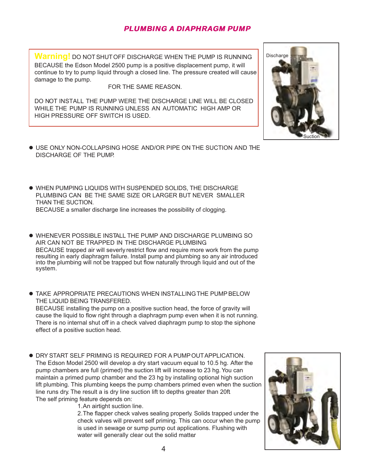# PLUMBING A DIAPHRAGM PUMP

**Warning!** DO NOT SHUT OFF DISCHARGE WHEN THE PUMP IS RUNNING. BECAUSE the Edson Model 2500 pump is a positive displacement pump, it will continue to try to pump liquid through a closed line. The pressure created will cause damage to the pump.

FOR THE SAME REASON.

DO NOT INSTALL THE PUMP WERE THE DISCHARGE LINE WILL BE CLOSED WHILE THE PUMP IS RUNNING UNLESS AN AUTOMATIC HIGH AMP OR HIGH PRESSURE OFF SWITCH IS USED.

- USE ONLY NON-COLLAPSING HOSE AND/OR PIPE ON THE SUCTION AND THE DISCHARGE OF THE PUMP.
- WHEN PUMPING LIQUIDS WITH SUSPENDED SOLIDS, THE DISCHARGE PLUMBING CAN BE THE SAME SIZE OR LARGER BUT NEVER SMALLER THAN THE SUCTION. BECAUSE a smaller discharge line increases the possibility of clogging.
- WHENEVER POSSIBLE INSTALL THE PUMP AND DISCHARGE PLUMBING SO AIR CAN NOT BE TRAPPED IN THE DISCHARGE PLUMBING. BECAUSE trapped air will severly restrict flow and require more work from the pump resulting in early diaphragm failure. Install pump and plumbing so any air introduced into the plumbing will not be trapped but flow naturally through liquid and out of the system.
- TAKE APPROPRIATE PRECAUTIONS WHEN INSTALLING THE PUMP BELOW THE LIQUID BEING TRANSFERED. BECAUSE installing the pump on a positive suction head, the force of gravity will cause the liquid to flow right through a diaphragm pump even when it is not running. There is no internal shut off in a check valved diaphragm pump to stop the siphone effect of a positive suction head.
- DRY START SELF PRIMING IS REQUIRED FOR A PUMP OUT APPLICATION. The Edson Model 2500 will develop a dry start vacuum equal to 10.5 hg. After the pump chambers are full (primed) the suction lift will increase to 23 hg. You can maintain a primed pump chamber and the 23 hg by installing optional high suction lift plumbing. This plumbing keeps the pump chambers primed even when the suction line runs dry. The result a is dry line suction lift to depths greater than 20ft. The self priming feature depends on:

1.An airtight suction line.

2.The flapper check valves sealing properly. Solids trapped under the check valves will prevent self priming. This can occur when the pump is used in sewage or sump pump out applications. Flushing with water will generally clear out the solid matter.



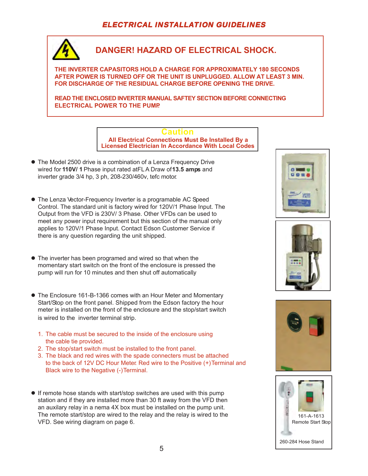# ELECTRICAL INSTALLATION GUIDELINES



161-A-1613 Remote Start Stop

260-284 Hose Stand

The remote start/stop are wired to the relay and the relay is wired to the

VFD. See wiring diagram on page 6.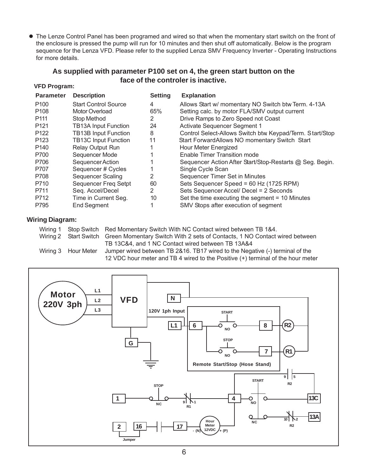The Lenze Control Panel has been programed and wired so that when the momentary start switch on the front of the enclosure is pressed the pump will run for 10 minutes and then shut off automatically. Below is the program sequence for the Lenza VFD. Please refer to the supplied Lenza SMV Frequency Inverter - Operating Instructions for more details.

## **As supplied with parameter P100 set on 4, the green start button on the face of the controler is inactive.**

## **VFD Program:**

| <b>Parameter</b> | <b>Description</b>          | <b>Setting</b> | <b>Explanation</b>                                       |
|------------------|-----------------------------|----------------|----------------------------------------------------------|
| P <sub>100</sub> | <b>Start Control Source</b> | 4              | Allows Start w/ momentary NO Switch btw Term. 4-13A      |
| P <sub>108</sub> | Motor Overload              | 65%            | Setting calc. by motor FLA/SMV output current            |
| P <sub>111</sub> | <b>Stop Method</b>          | 2              | Drive Ramps to Zero Speed not Coast                      |
| P <sub>121</sub> | <b>TB13A Input Function</b> | 24             | Activate Sequencer Segment 1                             |
| P <sub>122</sub> | <b>TB13B Input Function</b> | 8              | Control Select-Allows Switch btw Keypad/Term. Start/Stop |
| P <sub>123</sub> | <b>TB13C Input Function</b> | 11             | Start ForwardAllows NO momentary Switch Start            |
| P <sub>140</sub> | <b>Relay Output Run</b>     |                | Hour Meter Energized                                     |
| P700             | Sequencer Mode              |                | Enable Timer Transition mode                             |
| P706             | Sequencer Action            |                | Sequencer Action After Start/Stop-Restarts @ Seg. Begin. |
| P707             | Sequencer # Cycles          |                | Single Cycle Scan                                        |
| P708             | Sequencer Scaling           | 2              | Sequencer Timer Set in Minutes                           |
| P710             | Sequencer Freq Setpt        | 60             | Sets Sequencer Speed = 60 Hz (1725 RPM)                  |
| P711             | Seq. Accel/Decel            | 2              | Sets Sequencer Accel/ Decel = 2 Seconds                  |
| P712             | Time in Current Seg.        | 10             | Set the time executing the segment = 10 Minutes          |
| P795             | <b>End Segment</b>          |                | SMV Stops after execution of segment                     |
|                  |                             |                |                                                          |

## **Wiring Diagram:**

|                     | Wiring 1 Stop Switch Red Momentary Switch With NC Contact wired between TB 1&4.                  |
|---------------------|--------------------------------------------------------------------------------------------------|
|                     | Wiring 2 Start Switch Green Momentary Switch With 2 sets of Contacts, 1 NO Contact wired between |
|                     | TB 13C&4, and 1 NC Contact wired between TB 13A&4                                                |
| Wiring 3 Hour Meter | Jumper wired between TB 2&16. TB17 wired to the Negative (-) terminal of the                     |
|                     | 12 VDC hour meter and TB 4 wired to the Positive (+) terminal of the hour meter                  |
|                     |                                                                                                  |

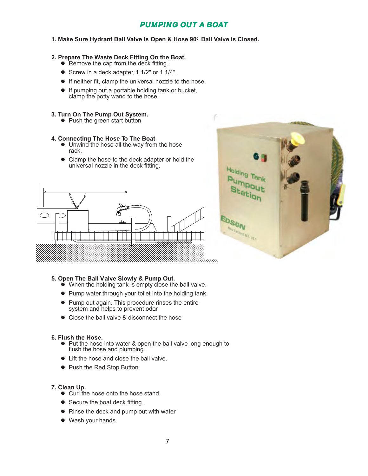# **PUMPING OUT A BOAT**

#### **1. Make Sure Hydrant Ball Valve Is Open & Hose 900 Ball Valve is Closed.**

#### **2. Prepare The Waste Deck Fitting On the Boat.**

- $\bullet$  Remove the cap from the deck fitting.
- Screw in a deck adapter, 1 1/2" or 1 1/4".
- If neither fit, clamp the universal nozzle to the hose.
- $\bullet$  If pumping out a portable holding tank or bucket, clamp the potty wand to the hose.
- **3. Turn On The Pump Out System.**
	- Push the green start button

#### **4. Connecting The Hose To The Boat**

- Unwind the hose all the way from the hose rack.
- Clamp the hose to the deck adapter or hold the universal nozzle in the deck fitting.





#### **5. Open The Ball Valve Slowly & Pump Out.**

- When the holding tank is empty close the ball valve.
- Pump water through your toilet into the holding tank.
- Pump out again. This procedure rinses the entire system and helps to prevent odor.
- Close the ball valve & disconnect the hose

#### **6. Flush the Hose.**

- Put the hose into water & open the ball valve long enough to flush the hose and plumbing.
- Lift the hose and close the ball valve.
- Push the Red Stop Button.

### **7. Clean Up.**

- Curl the hose onto the hose stand.
- Secure the boat deck fitting.
- Rinse the deck and pump out with water.
- Wash your hands.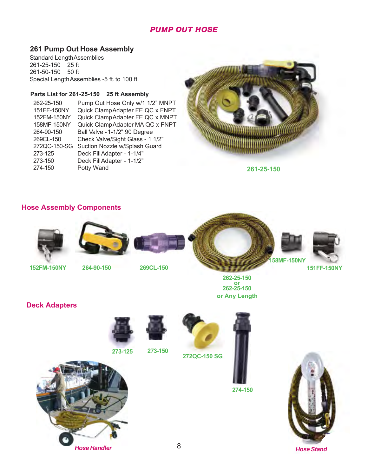# PUMP OUT HOSE

## **261 Pump Out Hose Assembly**

Standard Length Assemblies 261-25-150 25 ft 261-50-150 50 ft Special Length Assemblies -5 ft. to 100 ft.

### **Parts List for 261-25-150 25 ft Assembly**

262-25-150 Pump Out Hose Only w/1 1/2" MNPT<br>151FF-150NY Quick Clamp Adapter FE QC x FNPT 151FF-150NY Quick Clamp Adapter FE QC x FNPT<br>152FM-150NY Quick Clamp Adapter FE QC x MNPT Quick Clamp Adapter FE QC x MNPT 158MF-150NY Quick Clamp Adapter MA QC x FNPT 264-90-150 Ball Valve - 1-1/2" 90 Degree Check Valve/Sight Glass - 1 1/2" 272QC-150-SG Suction Nozzle w/Splash Guard<br>273-125 Deck FillAdapter - 1-1/4" Deck Fill Adapter - 1-1/4" 273-150 Deck Fill Adapter - 1-1/2"<br>274-150 Potty Wand Potty Wand



**261-25-150**

## **Hose Assembly Components**





**262-25-150 or 262-25-150 or Any Length**



**151FF-150NY**

**152FM-150NY**

**264-90-150 269CL-150**



**Deck Adapters**



**273-125 273-150**



**272QC-150 SG**



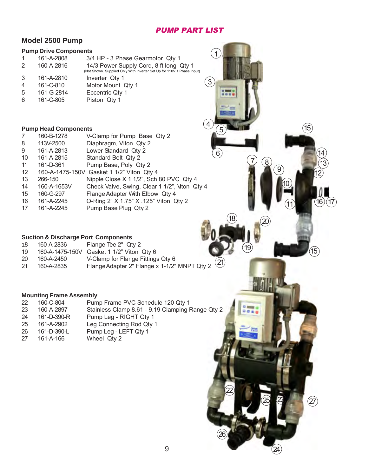## PUMP PART LIST

## **Model 2500 Pump**

## **Pump Drive Components**

|   | 161-A-2808 | 3/4 HP - 3 Phase Gearmotor Qty 1                                                                                  |              |
|---|------------|-------------------------------------------------------------------------------------------------------------------|--------------|
| 2 | 160-A-2816 | 14/3 Power Supply Cord, 8 ft long Qty 1<br>(Not Shown. Supplied Only With Inverter Set Up for 110V 1 Phase Input) |              |
| 3 | 161-A-2810 | Inverter Qty 1                                                                                                    |              |
| 4 | 161-C-810  | Motor Mount Qty 1                                                                                                 | $\mathbf{3}$ |
| 5 | 161-G-2814 | Eccentric Qty 1                                                                                                   |              |
| 6 | 161-C-805  | Piston Qty 1                                                                                                      |              |
|   |            |                                                                                                                   |              |

### **Pump Head Components**

| 7  | 160-B-1278  | V-Clamp for Pump Base Qty 2                   |
|----|-------------|-----------------------------------------------|
| 8  | 113V-2500   | Diaphragm, Viton Qty 2                        |
| 9  | 161-A-2813  | Lower Standard Qty 2                          |
| 10 | 161-A-2815  | Standard Bolt Qty 2                           |
| 11 | 161-D-361   | Pump Base, Poly Qty 2                         |
| 12 |             | 160-A-1475-150V Gasket 1 1/2" Viton Qty 4     |
| 13 | 266-150     | Nipple Close X 1 1/2", Sch 80 PVC Qty 4       |
| 14 | 160-A-1653V | Check Valve, Swing, Clear 1 1/2", Viton Qty 4 |
| 15 | 160-G-297   | Flange Adapter With Elbow Qty 4               |
| 16 | 161-A-2245  | O-Ring 2" X 1.75" X .125" Viton Qty 2         |
| 17 | 161-A-2245  | Pump Base Plug Qty 2                          |
|    |             |                                               |

## **Suction & Discharge Port Components**

| 18 | 160-A-2836 | Flange Tee 2" Qty 2                       |
|----|------------|-------------------------------------------|
| 19 |            | 160-A-1475-150V Gasket 1 1/2" Viton Qty 6 |
| ว∩ | 160 A 2150 | V Clamp for Flange Fittings Oty 6         |

20 160-A-2450 V-Clamp for Flange Fittings Qty 6 21 160-A-2835 Flange Adapter 2" Flange x 1-1/2" MNPT Qty 2 <sup>21</sup>

## **Mounting Frame Assembly**

| 22 | 160-C-804   | Pump Frame PVC Schedule 120 Qty 1                |
|----|-------------|--------------------------------------------------|
| 23 | 160-A-2897  | Stainless Clamp 8.61 - 9.19 Clamping Range Qty 2 |
| 24 | 161-D-390-R | Pump Leg - RIGHT Qty 1                           |
| 25 | 161-A-2902  | Leg Connecting Rod Qty 1                         |
| 26 | 161-D-390-L | Pump Leg - LEFT Qty 1                            |
| 27 | 161-A-166   | Wheel Qty 2                                      |

22

26

 $\left( 8\right)$ 

19

 $rac{1}{1}$ 

 $18$   $(20)$ 

6

5

855

 $\overline{A}$ 

1

9

10

13 12

 $(16)(17)$ 

14

15

15

11

23

 $\circledZ$ 

25

24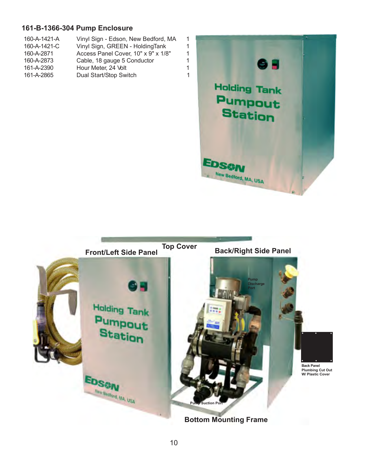# **161-B-1366-304 Pump Enclosure**

| 160-A-1421-A | Vinyl Sign - Edson, New Bedford, MA | 1 |
|--------------|-------------------------------------|---|
| 160-A-1421-C | Vinyl Sign, GREEN - HoldingTank     | 1 |
| 160-A-2871   | Access Panel Cover, 10" x 9" x 1/8" | 1 |
| 160-A-2873   | Cable, 18 gauge 5 Conductor         | 1 |
| 161-A-2390   | Hour Meter, 24 Volt                 | 1 |
| 161-A-2865   | Dual Start/Stop Switch              | 1 |



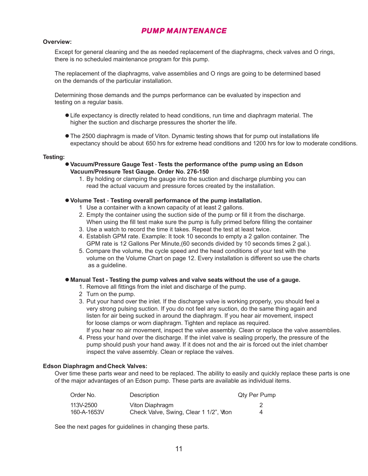## PUMP MAINTENANCE

#### **Overview:**

Except for general cleaning and the as needed replacement of the diaphragms, check valves and O rings, there is no scheduled maintenance program for this pump.

The replacement of the diaphragms, valve assemblies and O rings are going to be determined based on the demands of the particular installation.

Determining those demands and the pumps performance can be evaluated by inspection and testing on a regular basis.

- Life expectancy is directly related to head conditions, run time and diaphragm material. The higher the suction and discharge pressures the shorter the life.
- The 2500 diaphragm is made of Viton. Dynamic testing shows that for pump out installations life expectancy should be about 650 hrs for extreme head conditions and 1200 hrs for low to moderate conditions.

#### **Testing:**

- **Vacuum/Pressure Gauge Test Tests the performance of the pump using an Edson Vacuum/Pressure Test Gauge. Order No. 276-150**
	- 1. By holding or clamping the gauge into the suction and discharge plumbing you can read the actual vacuum and pressure forces created by the installation.

#### **Volume Test** - **Testing overall performance of the pump installation.**

- 1 Use a container with a known capacity of at least 2 gallons.
- 2. Empty the container using the suction side of the pump or fill it from the discharge. When using the fill test make sure the pump is fully primed before filling the container
- 3. Use a watch to record the time it takes. Repeat the test at least twice.
- 4. Establish GPM rate. Example: It took 10 seconds to empty a 2 gallon container. The GPM rate is 12 Gallons Per Minute,(60 seconds divided by 10 seconds times 2 gal.).
- 5. Compare the volume, the cycle speed and the head conditions of your test with the volume on the Volume Chart on page 12. Every installation is different so use the charts as a guideline.

#### **Manual Test - Testing the pump valves and valve seats without the use of a gauge.**

- 1. Remove all fittings from the inlet and discharge of the pump.
- 2 Turn on the pump.
- 3. Put your hand over the inlet. If the discharge valve is working properly , you should feel a very strong pulsing suction. If you do not feel any suction, do the same thing again and listen for air being sucked in around the diaphragm. If you hear air movement, inspect for loose clamps or worn diaphragm. Tighten and replace as required.

If you hear no air movement, inspect the valve assembly. Clean or replace the valve assemblies.

4. Press your hand over the discharge. If the inlet valve is sealing properly , the pressure of the pump should push your hand away . If it does not and the air is forced out the inlet chamber, inspect the valve assembly. Clean or replace the valves.

#### **Edson Diaphragm and Check Valves:**

Over time these parts wear and need to be replaced. The ability to easily and quickly replace these parts is one of the major advantages of an Edson pump. These parts are available as individual items.

| Order No.   | Description                            | Qty Per Pump |
|-------------|----------------------------------------|--------------|
| 113V-2500   | Viton Diaphragm                        |              |
| 160-A-1653V | Check Valve, Swing, Clear 1 1/2", Vton | 4            |

See the next pages for guidelines in changing these parts.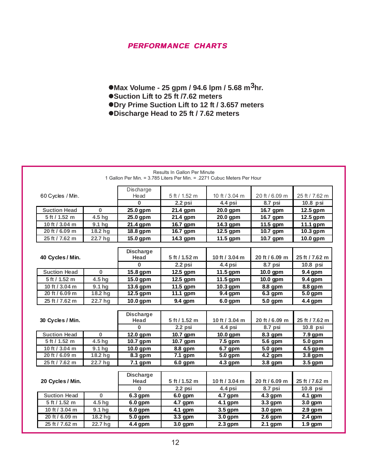## PERFORMANCE CHARTS

- **Max Volume 25 gpm / 94.6 lpm / 5.68 m3hr.**
- Suction Lift to 25 ft /7.62 meters
- **Dry Prime Suction Lift to 12 ft / 3.657 meters**
- **Discharge Head to 25 ft / 7.62 meters**

| 60 Cycles / Min.    |                     | Discharge<br>Head | 5 ft / 1.52 m | 10 ft / 3.04 m | 20 ft / 6.09 m | 25 ft / 7.62 m |
|---------------------|---------------------|-------------------|---------------|----------------|----------------|----------------|
|                     |                     | $\Omega$          | 2.2 psi       | 4.4 psi        | 8.7 psi        | $10.8$ psi     |
| <b>Suction Head</b> | $\bf{0}$            | 25.0 gpm          | 21.4 gpm      | 20.0 gpm       | 16.7 gpm       | 12.5 gpm       |
| 5 ft / 1.52 m       | 4.5 hg              | 25.0 gpm          | 21.4 gpm      | 20.0 gpm       | 16.7 gpm       | 12.5 gpm       |
| 10 ft / 3.04 m      | 9.1 hg              | 21.4 gpm          | 16.7 gpm      | 14.3 gpm       | 11.5 gpm       | 11.1 gpm       |
| 20 ft / 6.09 m      | 18.2 hg             | 18.8 gpm          | $16.7$ gpm    | 12.5 gpm       | 10.7 gpm       | 10.3 gpm       |
| 25 ft / 7.62 m      | 22.7 hg             | 15.0 gpm          | 14.3 gpm      | 11.5 gpm       | 10.7 gpm       | 10.0 gpm       |
|                     |                     |                   |               |                |                |                |
|                     |                     | <b>Discharge</b>  |               |                |                |                |
| 40 Cycles / Min.    |                     | Head              | 5 ft / 1.52 m | 10 ft / 3.04 m | 20 ft / 6.09 m | 25 ft / 7.62 m |
|                     |                     | $\bf{0}$          | $2.2$ psi     | 4.4 psi        | 8.7 psi        | 10.8 psi       |
| <b>Suction Head</b> | $\bf{0}$            | 15.8 gpm          | 12.5 gpm      | 11.5 gpm       | 10.0 gpm       | 9.4 gpm        |
| 5 ft / 1.52 m       | 4.5 hg              | 15.0 gpm          | 12.5 gpm      | 11.5 gpm       | 10.0 gpm       | $9.4$ gpm      |
| 10 ft / 3.04 m      | 9.1 <sub>hg</sub>   | 13.6 gpm          | 11.5 gpm      | 10.3 gpm       | 8.8 gpm        | 8.8 gpm        |
| 20 ft / 6.09 m      | 18.2 hg             | 12.5 gpm          | 11.1 gpm      | 9.4 gpm        | 6.3 gpm        | 5.0 gpm        |
| 25 ft / 7.62 m      | 22.7 hg             | 10.0 gpm          | 9.4 gpm       | 6.0 gpm        | 5.0 gpm        | 4.4 gpm        |
|                     |                     |                   |               |                |                |                |
|                     | <b>Discharge</b>    |                   |               |                |                |                |
| 30 Cycles / Min.    |                     | Head              | 5 ft / 1.52 m | 10 ft / 3.04 m | 20 ft / 6.09 m | 25 ft / 7.62 m |
|                     |                     | $\mathbf{0}$      | $2.2$ psi     | 4.4 psi        | 8.7 psi        | 10.8 psi       |
| <b>Suction Head</b> | $\bf{0}$            | 12.0 gpm          | 10.7 gpm      | 10.0 gpm       | 8.3 gpm        | 7.9 gpm        |
| 5 ft / 1.52 m       | $\overline{4.5}$ hg | 10.7 gpm          | 10.7 gpm      | $7.5$ gpm      | 5.6 gpm        | $5.0$ gpm      |
| 10 ft / 3.04 m      | 9.1 hg              | 10.0 gpm          | 8.8 gpm       | 6.7 gpm        | 5.0 gpm        | 4.5 gpm        |
| 20 ft / 6.09 m      | 18.2 hg             | 8.3 gpm           | 7.1 gpm       | 5.0 gpm        | 4.2 gpm        | 3.8 gpm        |
| 25 ft / 7.62 m      | 22.7 hg             | 7.1 gpm           | 6.0 gpm       | 4.3 gpm        | 3.8 gpm        | 3.5 gpm        |
|                     |                     |                   |               |                |                |                |
|                     |                     | <b>Discharge</b>  |               |                |                |                |
| 20 Cycles / Min.    |                     | Head              | 5 ft / 1.52 m | 10 ft / 3.04 m | 20 ft / 6.09 m | 25 ft / 7.62 m |
|                     |                     | $\bf{0}$          | $2.2$ psi     | 4.4 psi        | 8.7 psi        | 10.8 psi       |
| <b>Suction Head</b> | $\bf{0}$            | 6.3 gpm           | 6.0 gpm       | 4.7 gpm        | 4.3 gpm        | 4.1 gpm        |
| 5 ft / 1.52 m       | 4.5 hg              | 6.0 gpm           | $4.7$ gpm     | 4.1 gpm        | 3.3 gpm        | 3.0 gpm        |
| 10 ft / 3.04 m      | 9.1 <sub>hg</sub>   | 6.0 gpm           | 4.1 gpm       | 3.5 gpm        | 3.0 gpm        | $2.9$ gpm      |
| 20 ft / 6.09 m      | 18.2 hg             | 5.0 gpm           | $3.3$ gpm     | $3.0$ gpm      | $2.6$ gpm      | $2.4$ gpm      |
| 25 ft / 7.62 m      | 22.7 hg             | 4.4 gpm           | 3.0 gpm       | $2.3$ gpm      | $2.1$ gpm      | 1.9 gpm        |

Results In Gallon Per Minute 1 Gallon Per Min. = 3.785 Liters Per Min. = .2271 Cubuc Meters Per Hour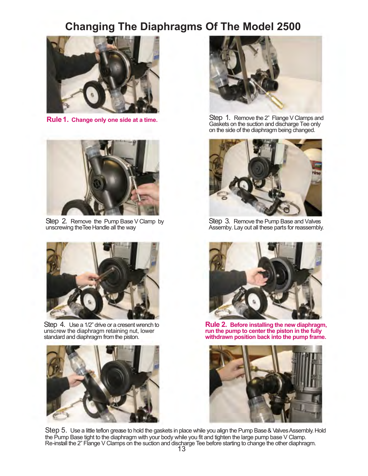# **Changing The Diaphragms Of The Model 2500**





Step 2. Remove the Pump Base V Clamp by unscrewing the Tee Handle all the way



Step 4. Use a 1/2" drive or a cresent wrench to unscrew the diaphragm retaining nut, lower standard and diaphragm from the piston.





**Rule 1. Change only one side at a time.** Step 1. Remove the 2" Flange V Clamps and Gaskets on the suction and discharge Tee only on the side of the diaphragm being changed.



Step 3. Remove the Pump Base and Valves Assemby. Lay out all these parts for reassembly.



**Rule 2. Before installing the new diaphragm, run the pump to center the piston in the fully withdrawn position back into the pump frame.**



Step 5. Use a little teflon grease to hold the gaskets in place while you align the Pump Base & Valves Assembly. Hold the Pump Base tight to the diaphragm with your body while you fit and tighten the large pump base V Clamp. Re-install the 2" Flange V Clamps on the suction and discharge Tee before starting to change the other diaphragm.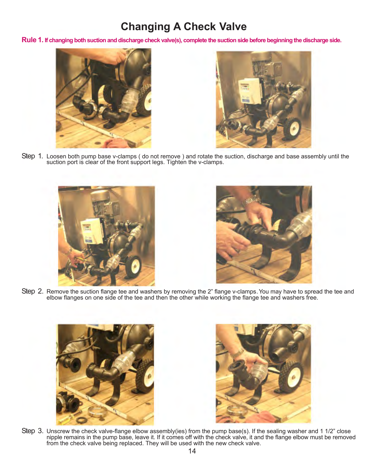# **Changing A Check Valve**

**Rule 1. If changing both suction and discharge check valve(s), complete the suction side before beginning the discharge side.**





Step 1. Loosen both pump base v-clamps (do not remove) and rotate the suction, discharge and base assembly until the suction port is clear of the front support legs. Tighten the v-clamps.





Step 2. Remove the suction flange tee and washers by removing the 2" flange v-clamps. You may have to spread the tee and elbow flanges on one side of the tee and then the other while working the flange tee and washers free.





Step 3. Unscrew the check valve-flange elbow assembly(ies) from the pump base(s). If the sealing washer and 1 1/2" close nipple remains in the pump base, leave it. If it comes off with the check valve, it and the flange elbow must be removed from the check valve being replaced. They will be used with the new check valve.